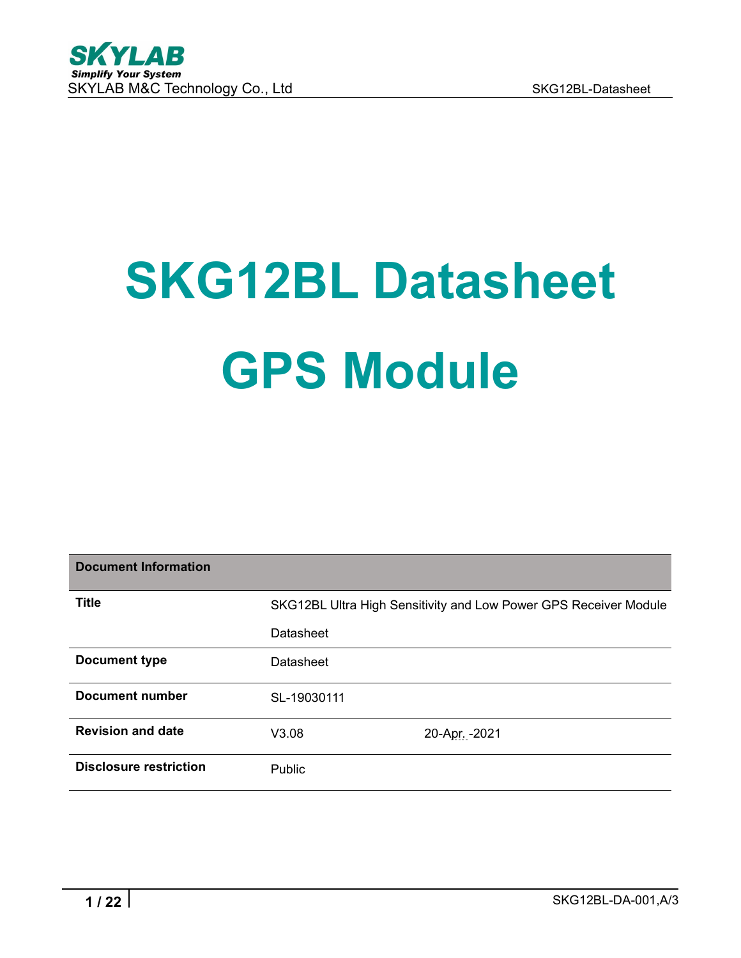

# **SKG12BL Datasheet GPS Module**

| <b>Document Information</b>   |             |                                                                  |
|-------------------------------|-------------|------------------------------------------------------------------|
| <b>Title</b>                  |             | SKG12BL Ultra High Sensitivity and Low Power GPS Receiver Module |
|                               | Datasheet   |                                                                  |
| <b>Document type</b>          | Datasheet   |                                                                  |
| <b>Document number</b>        | SL-19030111 |                                                                  |
| <b>Revision and date</b>      | V3.08       | 20-Apr. - 2021                                                   |
| <b>Disclosure restriction</b> | Public      |                                                                  |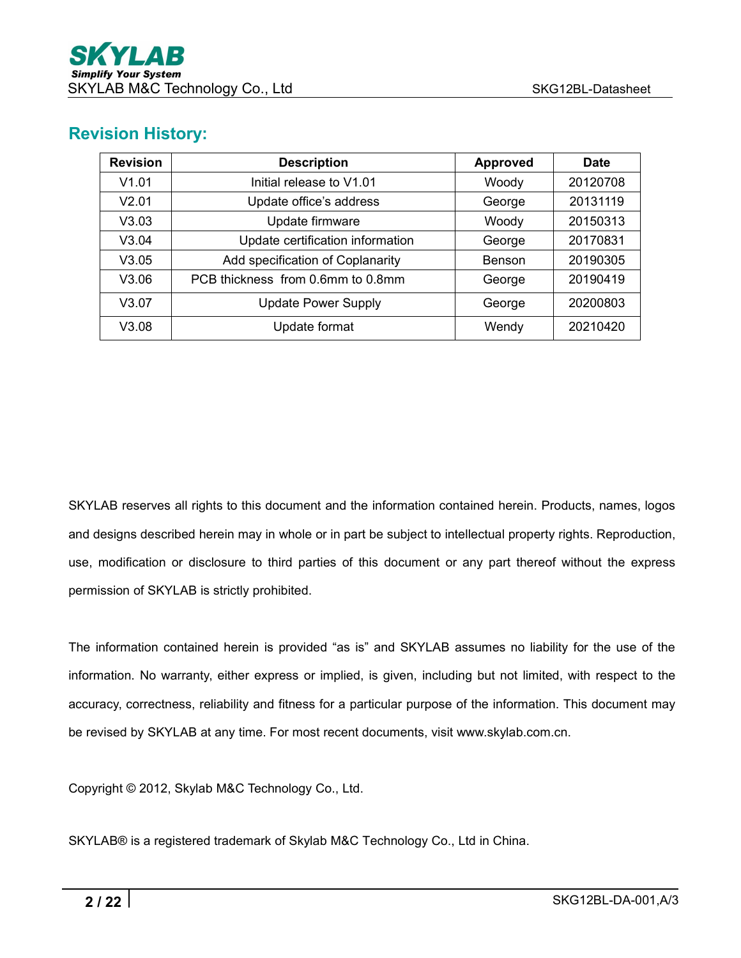## **Revision History:**

| <b>Revision</b> | <b>Description</b>                | <b>Approved</b> | <b>Date</b> |
|-----------------|-----------------------------------|-----------------|-------------|
| V1.01           | Initial release to V1.01          | Woody           | 20120708    |
| V2.01           | Update office's address           | George          | 20131119    |
| V3.03           | Update firmware                   | Woody           | 20150313    |
| V3.04           | Update certification information  | George          | 20170831    |
| V3.05           | Add specification of Coplanarity  | Benson          | 20190305    |
| V3.06           | PCB thickness from 0.6mm to 0.8mm | George          | 20190419    |
| V3.07           | <b>Update Power Supply</b>        | George          | 20200803    |
| V3.08           | Update format                     | Wendy           | 20210420    |

SKYLAB reserves all rights to this document and the information contained herein. Products, names, logos and designs described herein may in whole or in part be subject to intellectual property rights. Reproduction, use, modification or disclosure to third parties of this document or any part thereof without the express permission of SKYLAB is strictly prohibited.

The information contained herein is provided "as is" and SKYLAB assumes no liability for the use of the information. No warranty, either express or implied, is given, including but not limited, with respect to the accuracy, correctness, reliability and fitness for a particular purpose of the information. This document may be revised by SKYLAB at any time. For most recent documents, visit www.skylab.com.cn.

Copyright © 2012, Skylab M&C Technology Co., Ltd.

SKYLAB® is a registered trademark of Skylab M&C Technology Co., Ltd in China.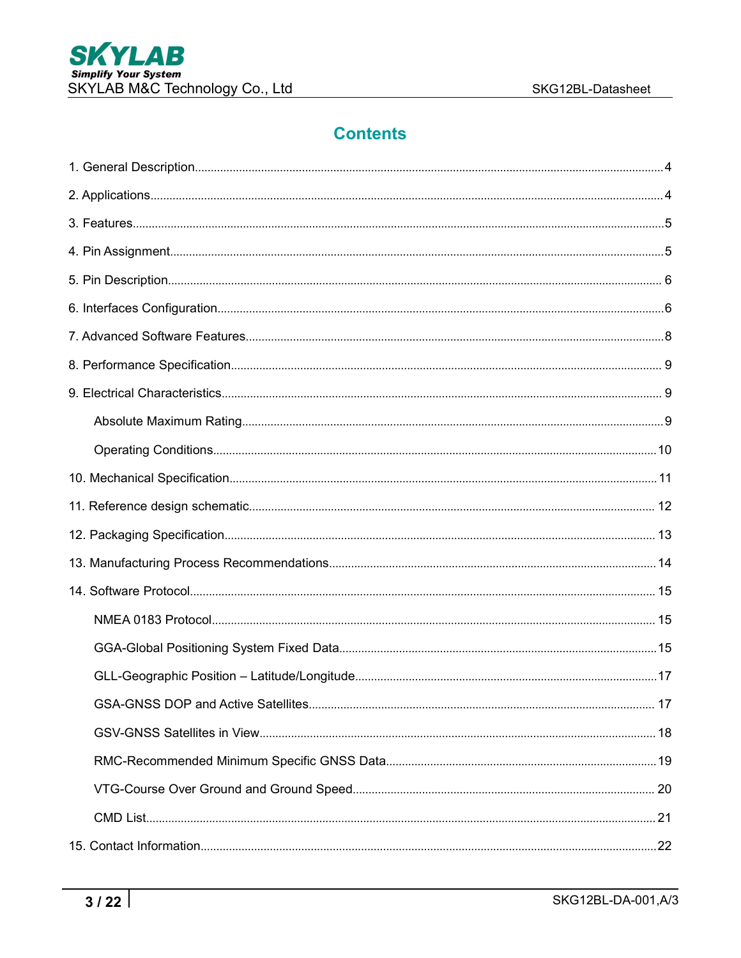# **Contents**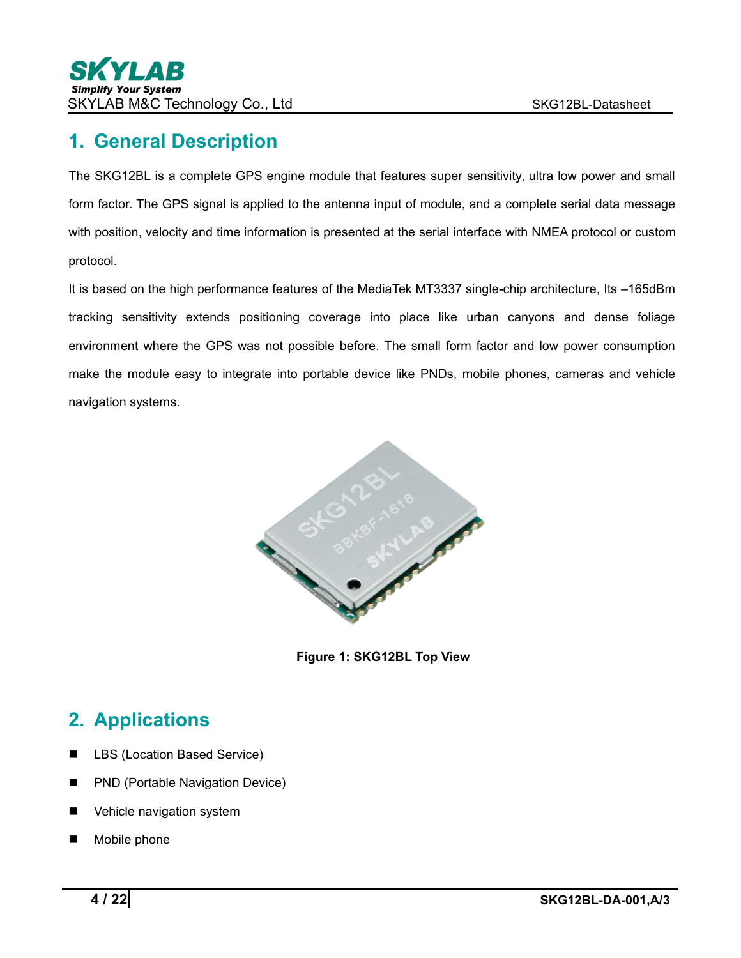# <span id="page-3-0"></span>**1. General Description**

The SKG12BL is a complete GPS engine module that features super sensitivity, ultra low power and small form factor. The GPS signal is applied to the antenna input of module, and a complete serial data message with position, velocity and time information is presented at the serial interface with NMEA protocol or custom protocol.

It is based on the high performance features of the MediaTek MT3337 single-chip architecture, Its –165dBm tracking sensitivity extends positioning coverage into place like urban canyons and dense foliage environment where the GPS was not possible before. The small form factor and low power consumption make the module easy to integrate into portable device like PNDs, mobile phones, cameras and vehicle navigation systems.



**Figure 1: SKG12BL Top View**

# <span id="page-3-1"></span>**2. Applications**

- LBS (Location Based Service)
- **PND (Portable Navigation Device)**
- **Now Vehicle navigation system**
- Mobile phone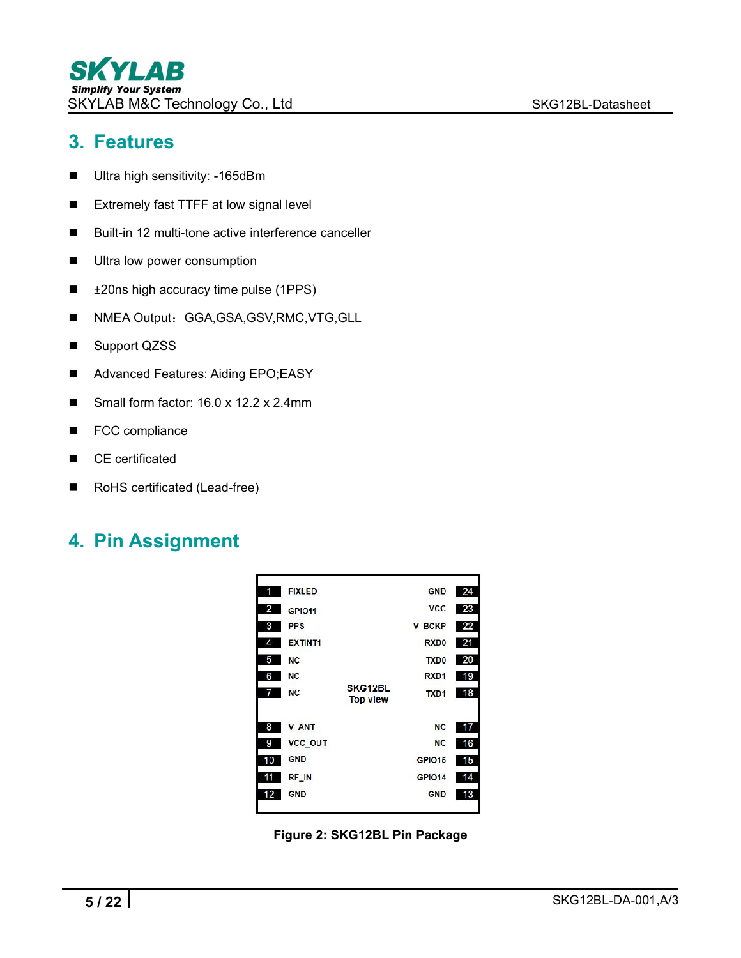## <span id="page-4-0"></span>**3. Features**

- **Ultra high sensitivity: -165dBm**
- Extremely fast TTFF at low signal level
- Built-in 12 multi-tone active interference canceller
- **Ultra low power consumption**
- ±20ns high accuracy time pulse (1PPS)
- NMEA Output: GGA,GSA,GSV,RMC,VTG,GLL
- Support QZSS
- Advanced Features: Aiding EPO;EASY
- Small form factor: 16.0 x 12.2 x 2.4mm
- FCC compliance
- CE certificated
- RoHS certificated (Lead-free)

# <span id="page-4-1"></span>**4. Pin Assignment**



**Figure 2: SKG12BL Pin Package**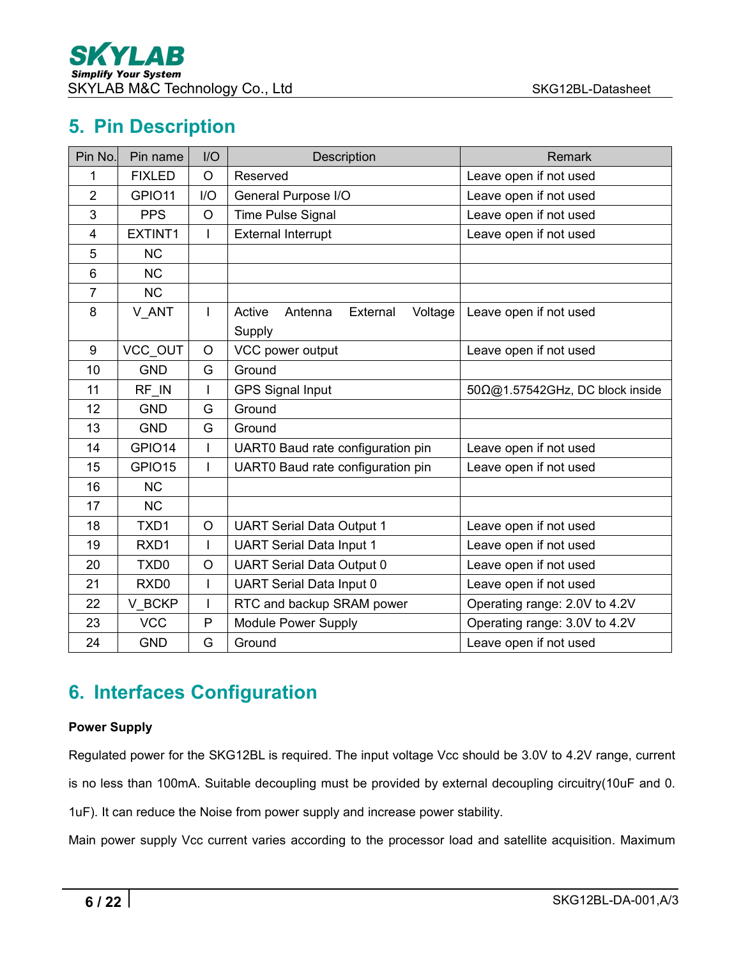# <span id="page-5-0"></span>**5. Pin Description**

| Pin No.        | Pin name         | I/O     | Description                                        | Remark                                  |
|----------------|------------------|---------|----------------------------------------------------|-----------------------------------------|
| 1              | <b>FIXLED</b>    | $\circ$ | Reserved                                           | Leave open if not used                  |
| $\overline{2}$ | GPIO11           | I/O     | General Purpose I/O                                | Leave open if not used                  |
| 3              | <b>PPS</b>       | $\circ$ | Time Pulse Signal                                  | Leave open if not used                  |
| 4              | EXTINT1          |         | <b>External Interrupt</b>                          | Leave open if not used                  |
| 5              | <b>NC</b>        |         |                                                    |                                         |
| 6              | <b>NC</b>        |         |                                                    |                                         |
| $\overline{7}$ | <b>NC</b>        |         |                                                    |                                         |
| 8              | V ANT            | L       | Active<br>Antenna<br>External<br>Voltage<br>Supply | Leave open if not used                  |
| 9              | VCC OUT          | $\circ$ | VCC power output                                   | Leave open if not used                  |
| 10             | <b>GND</b>       | G       | Ground                                             |                                         |
| 11             | RF IN            |         | <b>GPS Signal Input</b>                            | $50\Omega$ @1.57542GHz, DC block inside |
| 12             | <b>GND</b>       | G       | Ground                                             |                                         |
| 13             | <b>GND</b>       | G       | Ground                                             |                                         |
| 14             | GPIO14           | I       | UART0 Baud rate configuration pin                  | Leave open if not used                  |
| 15             | GPIO15           |         | UART0 Baud rate configuration pin                  | Leave open if not used                  |
| 16             | <b>NC</b>        |         |                                                    |                                         |
| 17             | <b>NC</b>        |         |                                                    |                                         |
| 18             | TXD1             | $\circ$ | <b>UART Serial Data Output 1</b>                   | Leave open if not used                  |
| 19             | RXD1             |         | <b>UART Serial Data Input 1</b>                    | Leave open if not used                  |
| 20             | TXD <sub>0</sub> | $\circ$ | <b>UART Serial Data Output 0</b>                   | Leave open if not used                  |
| 21             | RXD <sub>0</sub> | I       | <b>UART Serial Data Input 0</b>                    | Leave open if not used                  |
| 22             | V BCKP           | I       | RTC and backup SRAM power                          | Operating range: 2.0V to 4.2V           |
| 23             | <b>VCC</b>       | P       | <b>Module Power Supply</b>                         | Operating range: 3.0V to 4.2V           |
| 24             | <b>GND</b>       | G       | Ground                                             | Leave open if not used                  |

# <span id="page-5-1"></span>**6. Interfaces Configuration**

#### **Power Supply**

Regulated power for the SKG12BL is required. The input voltage Vcc should be 3.0V to 4.2V range, current is no less than 100mA. Suitable decoupling must be provided by external decoupling circuitry(10uF and 0.

1uF). It can reduce the Noise from power supply and increase power stability.

Main power supply Vcc current varies according to the processor load and satellite acquisition. Maximum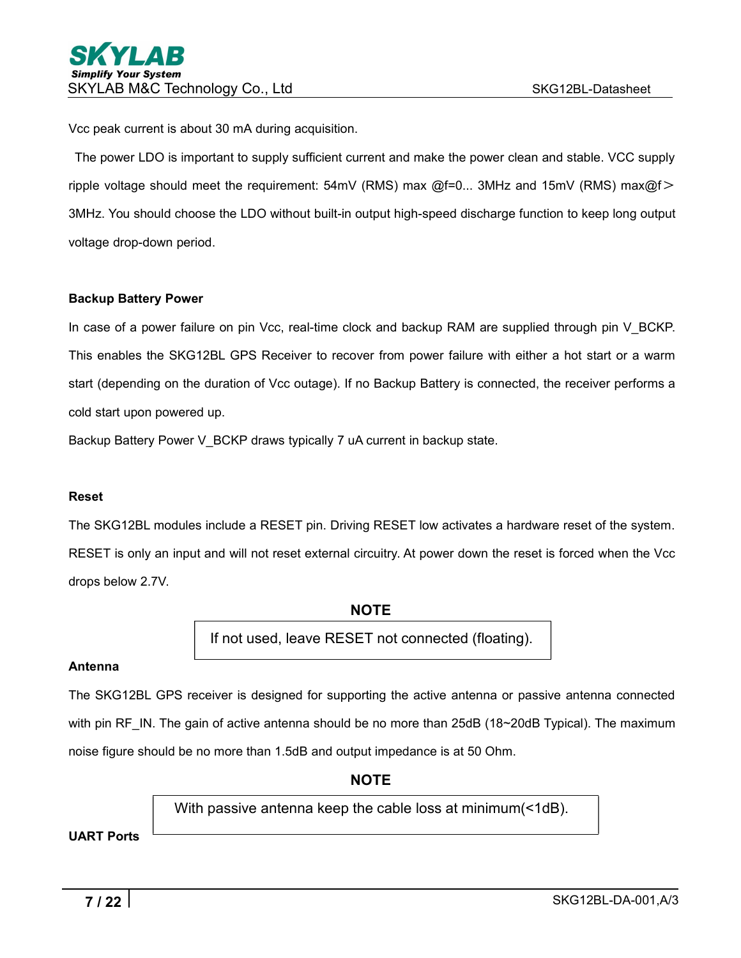Vcc peak current is about 30 mA during acquisition.<br>The power LDO is important to supply sufficient current and make the power clean and stable. VCC supply ripple voltage should meet the requirement:  $54mV$  (RMS) max  $@f=0...$  3MHz and  $15mV$  (RMS) max $@f>$ 3MHz. You should choose the LDO without built-in output high-speed discharge function to keep long output voltage drop-down period.

#### **Backup Battery Power**

In case of a power failure on pin Vcc, real-time clock and backup RAM are supplied through pin V\_BCKP. This enables the SKG12BL GPS Receiver to recover from power failure with either a hot start or a warm start (depending on the duration of Vcc outage). If no Backup Battery is connected, the receiver performs a cold start upon powered up.

Backup Battery Power V\_BCKP draws typically 7 uA current in backup state.

#### **Reset**

The SKG12BL modules include a RESET pin. Driving RESET low activates a hardware reset of the system. RESET is only an input and will not reset external circuitry. At power down the reset is forced when the Vcc drops below 2.7V.

**NOTE**

If not used, leave RESET not connected (floating).

#### **Antenna**

The SKG12BL GPS receiver is designed for supporting the active antenna or passive antenna connected with pin RF\_IN. The gain of active antenna should be no more than 25dB (18~20dB Typical). The maximum noise figure should be no more than 1.5dB and output impedance is at 50 Ohm.

**NOTE**

With passive antenna keep the cable loss at minimum(<1dB).

**UART Ports**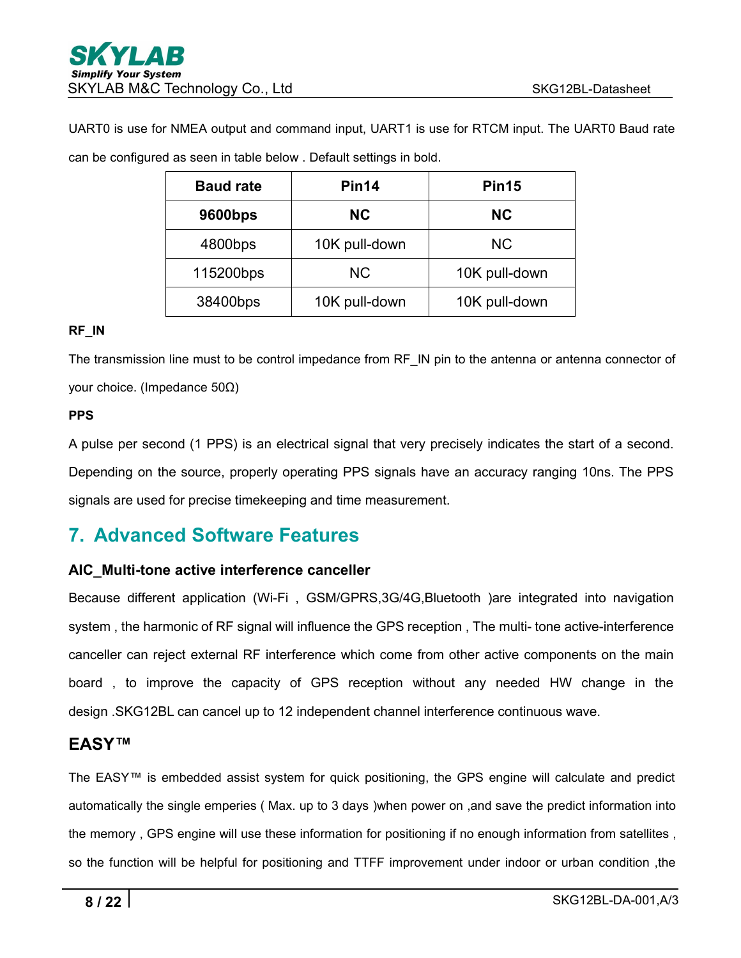UART0 is use for NMEA output and command input, UART1 is use for RTCM input. The UART0 Baud rate can be configured as seen in table below . Default settings in bold.

| <b>Baud rate</b> | Pin14         | Pin <sub>15</sub> |
|------------------|---------------|-------------------|
| 9600bps          | <b>NC</b>     | NC                |
| 4800bps          | 10K pull-down | NC.               |
| 115200bps        | <b>NC</b>     | 10K pull-down     |
| 38400bps         | 10K pull-down | 10K pull-down     |

#### **RF\_IN**

The transmission line must to be control impedance from RF\_IN pin to the antenna or antenna connector of your choice. (Impedance 50Ω)

#### **PPS**

A pulse per second (1 PPS) is an electrical signal that very precisely indicates the start of a second. Depending on the source, properly operating PPS signals have an accuracy ranging 10ns. The PPS signals are used for precise timekeeping and time measurement.

## <span id="page-7-0"></span>**7. Advanced Software Features**

#### **AIC\_Multi-tone active interference canceller**

Because different application (Wi-Fi , GSM/GPRS,3G/4G,Bluetooth )are integrated into navigation system , the harmonic of RF signal will influence the GPS reception , The multi- tone active-interference canceller can reject external RF interference which come from other active components on the main board , to improve the capacity of GPS reception without any needed HW change in the design .SKG12BL can cancel up to 12 independent channel interference continuous wave.

#### **EASY™**

The EASY™ is embedded assist system for quick positioning, the GPS engine will calculate and predict automatically the single emperies ( Max. up to 3 days )when power on ,and save the predict information into the memory , GPS engine will use these information for positioning if no enough information from satellites , so the function will be helpful for positioning and TTFF improvement under indoor or urban condition ,the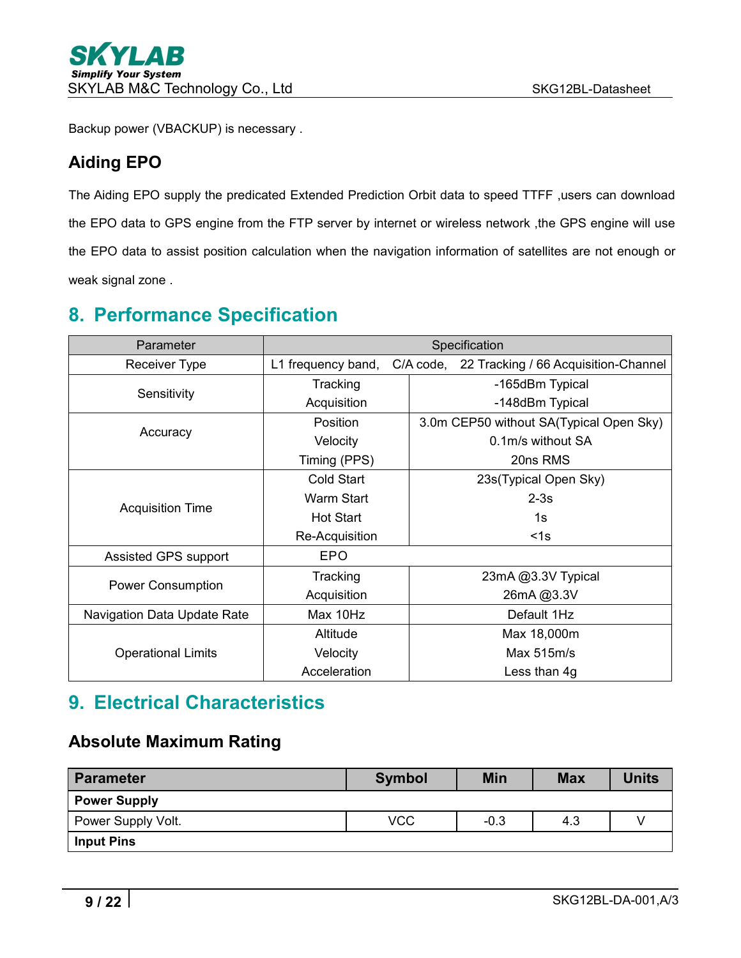Backup power (VBACKUP) is necessary .

## **Aiding EPO**

The Aiding EPO supply the predicated Extended Prediction Orbit data to speed TTFF ,users can download the EPO data to GPS engine from the FTP server by internet or wireless network ,the GPS engine will use the EPO data to assist position calculation when the navigation information of satellites are not enough or weak signal zone .

# <span id="page-8-0"></span>**8. Performance Specification**

| Parameter                   | Specification      |                                                |  |  |  |
|-----------------------------|--------------------|------------------------------------------------|--|--|--|
| <b>Receiver Type</b>        | L1 frequency band, | C/A code, 22 Tracking / 66 Acquisition-Channel |  |  |  |
|                             | Tracking           | -165dBm Typical                                |  |  |  |
| Sensitivity                 | Acquisition        | -148dBm Typical                                |  |  |  |
|                             | Position           | 3.0m CEP50 without SA(Typical Open Sky)        |  |  |  |
| Accuracy                    | Velocity           | 0.1m/s without SA                              |  |  |  |
|                             | Timing (PPS)       | 20ns RMS                                       |  |  |  |
|                             | <b>Cold Start</b>  | 23s(Typical Open Sky)                          |  |  |  |
|                             | <b>Warm Start</b>  | $2-3s$                                         |  |  |  |
| <b>Acquisition Time</b>     | <b>Hot Start</b>   | 1s                                             |  |  |  |
|                             | Re-Acquisition     | $1s$                                           |  |  |  |
| Assisted GPS support        | <b>EPO</b>         |                                                |  |  |  |
|                             | Tracking           | 23mA @3.3V Typical                             |  |  |  |
| <b>Power Consumption</b>    | Acquisition        | 26mA@3.3V                                      |  |  |  |
| Navigation Data Update Rate | Max 10Hz           | Default 1Hz                                    |  |  |  |
|                             | Altitude           | Max 18,000m                                    |  |  |  |
| <b>Operational Limits</b>   | Velocity           | Max $515m/s$                                   |  |  |  |
|                             | Acceleration       | Less than 4g                                   |  |  |  |

# <span id="page-8-1"></span>**9. Electrical Characteristics**

## <span id="page-8-2"></span>**Absolute Maximum Rating**

| <b>Parameter</b>    | <b>Symbol</b> | <b>Min</b> | <b>Max</b> | <b>Units</b> |
|---------------------|---------------|------------|------------|--------------|
| <b>Power Supply</b> |               |            |            |              |
| Power Supply Volt.  | <b>VCC</b>    | $-0.3$     | 4.3        |              |
| <b>Input Pins</b>   |               |            |            |              |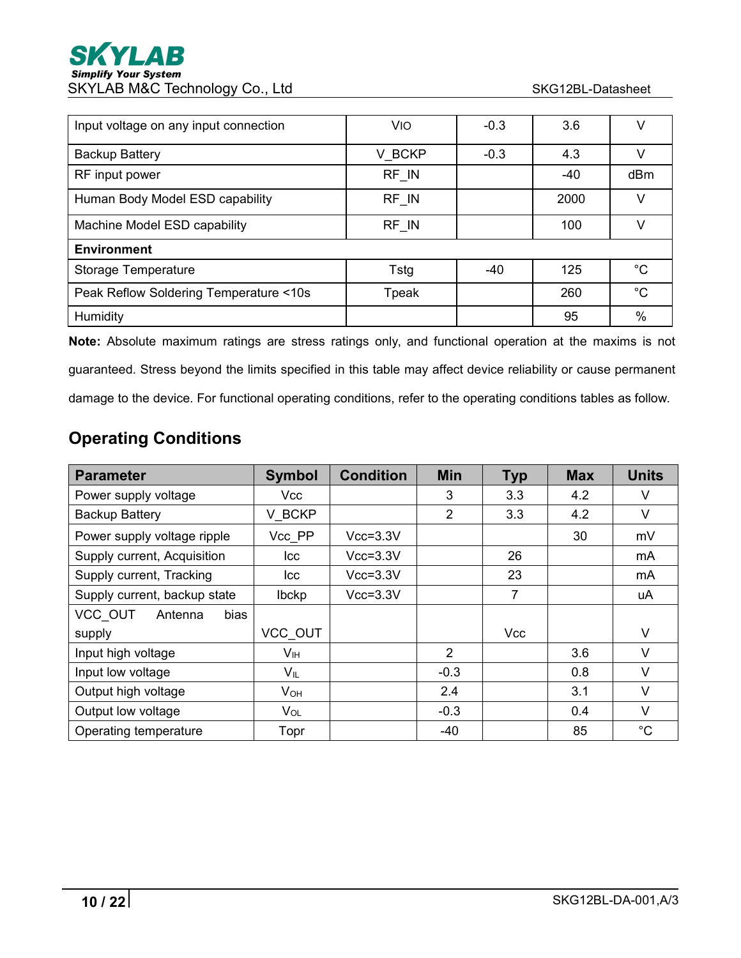| Input voltage on any input connection  | <b>VIO</b> | $-0.3$ | 3.6   | V           |
|----------------------------------------|------------|--------|-------|-------------|
| <b>Backup Battery</b>                  | V BCKP     | $-0.3$ | 4.3   | V           |
| RF input power                         | RF IN      |        | $-40$ | dBm         |
| Human Body Model ESD capability        | RF IN      |        | 2000  | v           |
| Machine Model ESD capability           | RF IN      |        | 100   |             |
| <b>Environment</b>                     |            |        |       |             |
| <b>Storage Temperature</b>             | Tstg       | $-40$  | 125   | $^{\circ}C$ |
| Peak Reflow Soldering Temperature <10s | Tpeak      |        | 260   | $^{\circ}C$ |
| Humidity                               |            |        | 95    | %           |

**Note:** Absolute maximum ratings are stress ratings only, and functional operation at the maxims is not guaranteed. Stress beyond the limits specified in this table may affect device reliability or cause permanent damage to the device. For functional operating conditions, refer to the operating conditions tables as follow.

# <span id="page-9-0"></span>**Operating Conditions**

| <b>Parameter</b>             | <b>Symbol</b>   | <b>Condition</b> | <b>Min</b>     | <b>Typ</b>     | <b>Max</b> | <b>Units</b> |
|------------------------------|-----------------|------------------|----------------|----------------|------------|--------------|
| Power supply voltage         | Vcc             |                  | 3              | 3.3            | 4.2        | $\vee$       |
| <b>Backup Battery</b>        | V BCKP          |                  | $\overline{2}$ | 3.3            | 4.2        | $\vee$       |
| Power supply voltage ripple  | Vcc PP          | $Vcc = 3.3V$     |                |                | 30         | mV           |
| Supply current, Acquisition  | Icc             | $Vcc=3.3V$       |                | 26             |            | mA           |
| Supply current, Tracking     | Icc             | $Vcc=3.3V$       |                | 23             |            | mA           |
| Supply current, backup state | Ibckp           | $Vcc=3.3V$       |                | $\overline{7}$ |            | uA           |
| VCC OUT<br>Antenna<br>bias   |                 |                  |                |                |            |              |
| supply                       | VCC OUT         |                  |                | <b>Vcc</b>     |            | $\vee$       |
| Input high voltage           | V <sub>IH</sub> |                  | $\overline{2}$ |                | 3.6        | $\vee$       |
| Input low voltage            | $V_{IL}$        |                  | $-0.3$         |                | 0.8        | $\vee$       |
| Output high voltage          | $V_{OH}$        |                  | 2.4            |                | 3.1        | V            |
| Output low voltage           | $V_{OL}$        |                  | $-0.3$         |                | 0.4        | $\vee$       |
| Operating temperature        | Topr            |                  | -40            |                | 85         | $^{\circ}C$  |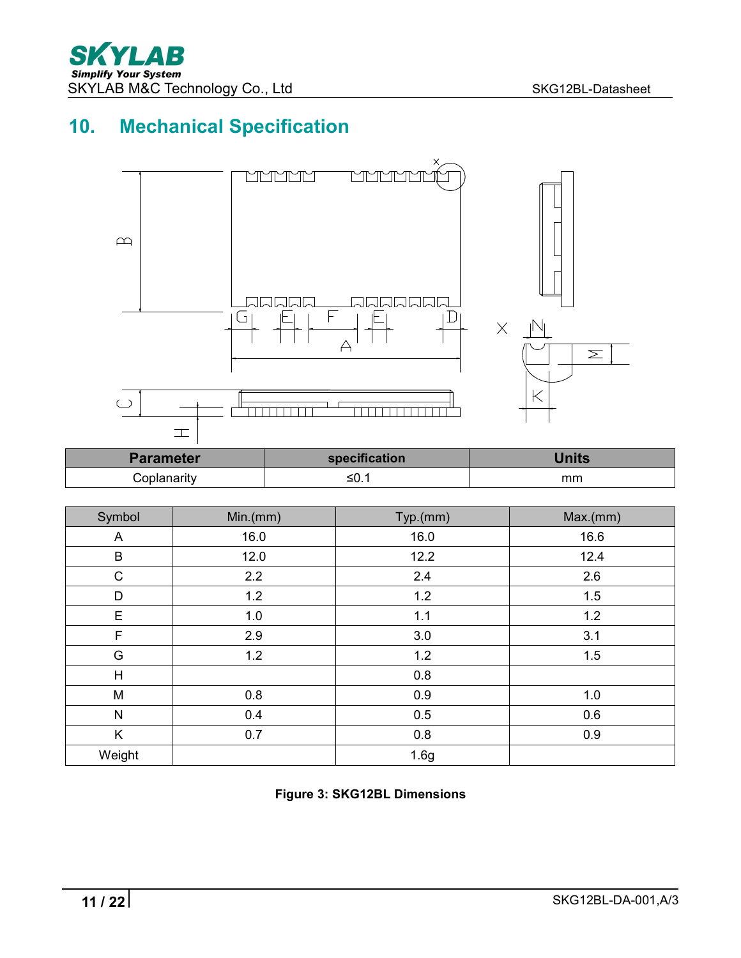# **10. Mechanical Specification**

<span id="page-10-0"></span>

| <b>Parameter</b> | specification | Jnits |
|------------------|---------------|-------|
| `oplanarity      | - -<br>_≤0. . | mm    |

| Symbol      | Min.(mm) | Typ.(mm) | Max.(mm) |
|-------------|----------|----------|----------|
| A           | 16.0     | 16.0     | 16.6     |
| B           | 12.0     | 12.2     | 12.4     |
| $\mathsf C$ | 2.2      | 2.4      | 2.6      |
| D           | 1.2      | 1.2      | 1.5      |
| E           | 1.0      | 1.1      | 1.2      |
| F           | 2.9      | 3.0      | 3.1      |
| G           | 1.2      | 1.2      | 1.5      |
| H           |          | 0.8      |          |
| M           | 0.8      | 0.9      | 1.0      |
| ${\sf N}$   | 0.4      | 0.5      | 0.6      |
| K           | 0.7      | 0.8      | 0.9      |
| Weight      |          | 1.6g     |          |

**Figure 3: SKG12BL Dimensions**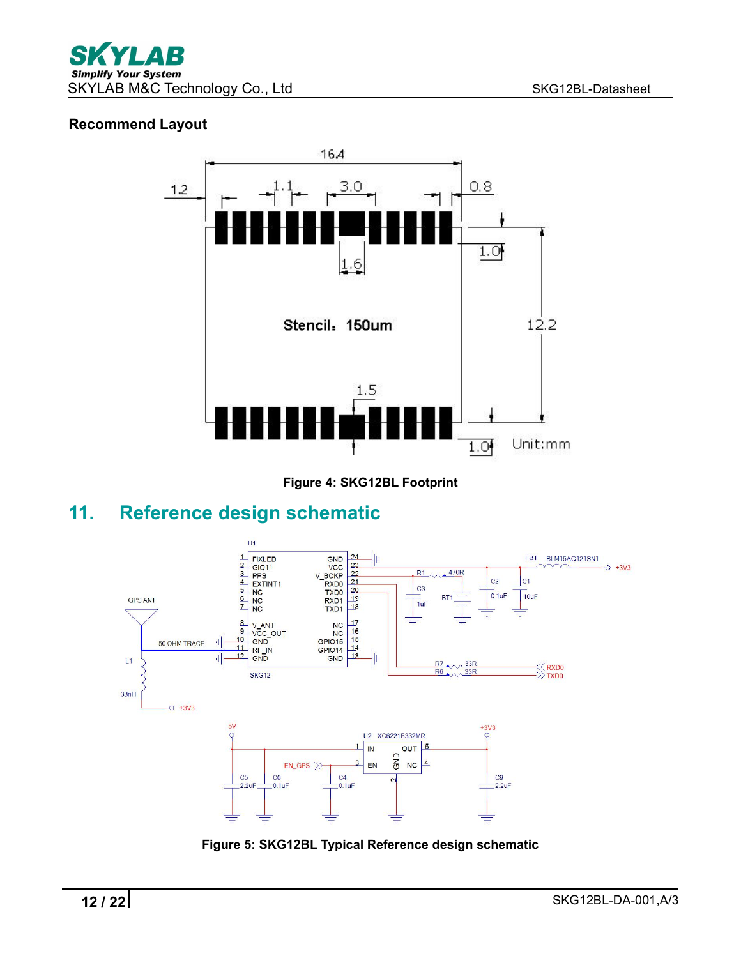#### **Recommend Layout**



**Figure 4: SKG12BL Footprint**

# **11. Reference design schematic**

<span id="page-11-0"></span>

**Figure 5: SKG12BL Typical Reference design schematic**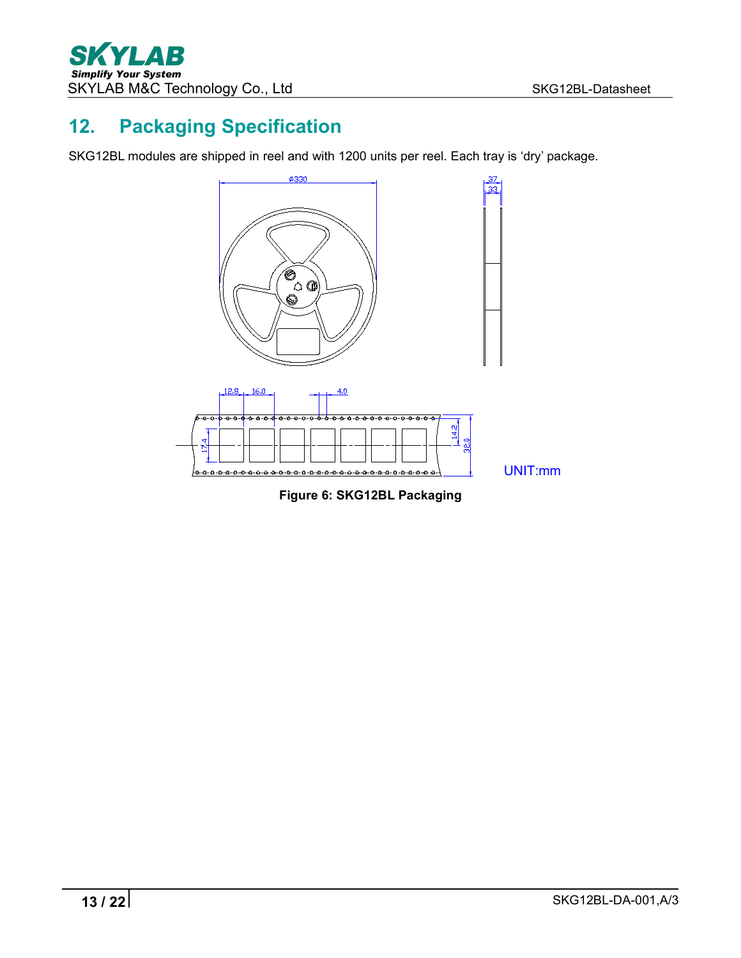# <span id="page-12-0"></span>**12. Packaging Specification**

SKG12BL modules are shipped in reel and with 1200 units per reel. Each tray is 'dry' package.

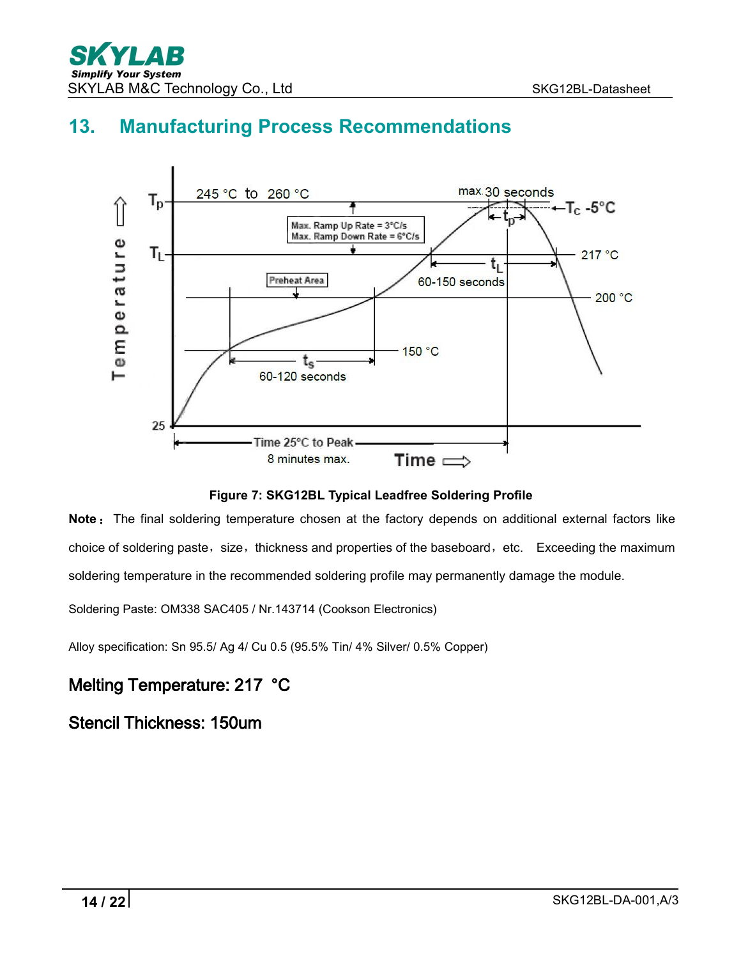# <span id="page-13-0"></span>**13. Manufacturing Process Recommendations**



**Figure 7: SKG12BL Typical Leadfree Soldering Profile**

**Note**: The final soldering temperature chosen at the factory depends on additional external factors like choice of soldering paste, size, thickness and properties of the baseboard, etc. Exceeding the maximum soldering temperature in the recommended soldering profile may permanently damage the module.

Soldering Paste: OM338 SAC405 / Nr.143714 (Cookson Electronics)

Alloy specification: Sn 95.5/ Ag 4/ Cu 0.5 (95.5% Tin/ 4% Silver/ 0.5% Copper)

## Melting Temperature: 217 °C

Stencil Thickness: 150um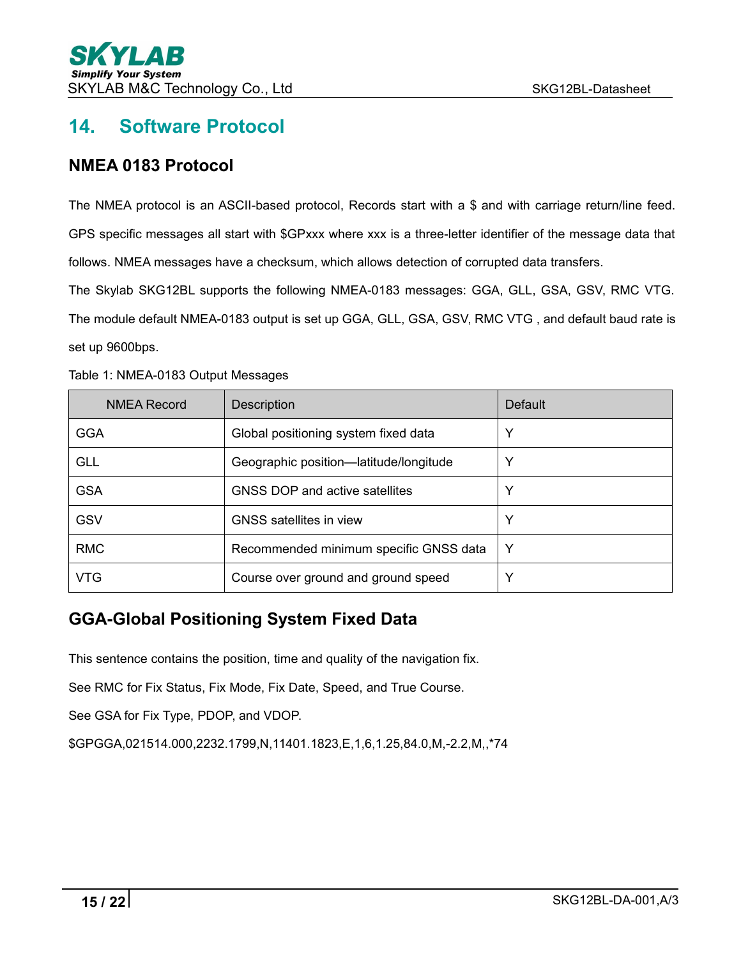# <span id="page-14-0"></span>**14. Software Protocol**

## <span id="page-14-1"></span>**NMEA 0183 Protocol**

The NMEA protocol is an ASCII-based protocol, Records start with a \$ and with carriage return/line feed. GPS specific messages all start with \$GPxxx where xxx is a three-letter identifier of the message data that follows. NMEA messages have a checksum, which allows detection of corrupted data transfers.

The Skylab SKG12BL supports the following NMEA-0183 messages:GGA, GLL, GSA, GSV, RMC VTG.

The module default NMEA-0183 output is set up GGA, GLL,GSA, GSV, RMC VTG , and default baud rate is set up 9600bps.

| <b>NMEA Record</b> | Description                            | Default |
|--------------------|----------------------------------------|---------|
| <b>GGA</b>         | Global positioning system fixed data   | Y       |
| <b>GLL</b>         | Geographic position-latitude/longitude | Υ       |
| <b>GSA</b>         | GNSS DOP and active satellites         | Υ       |
| GSV                | <b>GNSS</b> satellites in view         | Υ       |
| <b>RMC</b>         | Recommended minimum specific GNSS data | Y       |
| VTG                | Course over ground and ground speed    | Y       |

Table 1: NMEA-0183 Output Messages

## <span id="page-14-2"></span>**GGA-Global Positioning System Fixed Data**

This sentence contains the position, time and quality of the navigation fix.

See RMC for Fix Status, Fix Mode, Fix Date, Speed, and True Course.

See GSA for Fix Type, PDOP, and VDOP.

\$GPGGA,021514.000,2232.1799,N,11401.1823,E,1,6,1.25,84.0,M,-2.2,M,,\*74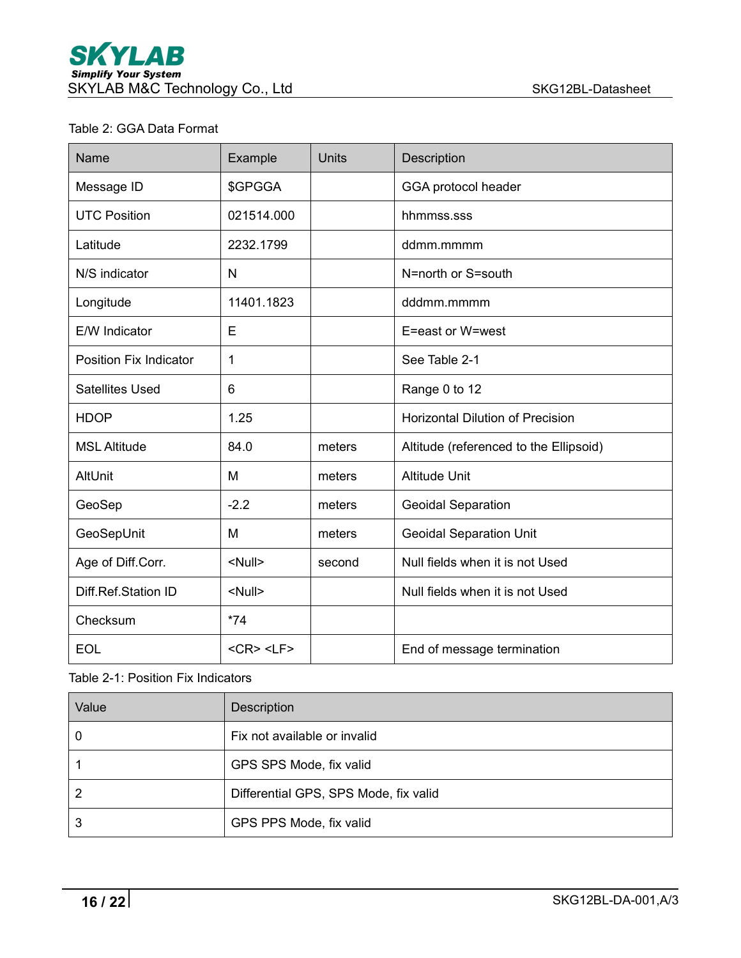#### Table 2: GGA Data Format

| Name                          | Example               | <b>Units</b> | Description                             |
|-------------------------------|-----------------------|--------------|-----------------------------------------|
| Message ID                    | \$GPGGA               |              | GGA protocol header                     |
| <b>UTC Position</b>           | 021514.000            |              | hhmmss.sss                              |
| Latitude                      | 2232.1799             |              | ddmm.mmmm                               |
| N/S indicator                 | N                     |              | N=north or S=south                      |
| Longitude                     | 11401.1823            |              | dddmm.mmmm                              |
| E/W Indicator                 | E                     |              | E=east or W=west                        |
| <b>Position Fix Indicator</b> | 1                     |              | See Table 2-1                           |
| <b>Satellites Used</b>        | 6                     |              | Range 0 to 12                           |
| <b>HDOP</b>                   | 1.25                  |              | <b>Horizontal Dilution of Precision</b> |
| <b>MSL Altitude</b>           | 84.0                  | meters       | Altitude (referenced to the Ellipsoid)  |
| AltUnit                       | M                     | meters       | <b>Altitude Unit</b>                    |
| GeoSep                        | $-2.2$                | meters       | <b>Geoidal Separation</b>               |
| GeoSepUnit                    | M                     | meters       | <b>Geoidal Separation Unit</b>          |
| Age of Diff.Corr.             | <null></null>         | second       | Null fields when it is not Used         |
| Diff.Ref.Station ID           | <null></null>         |              | Null fields when it is not Used         |
| Checksum                      | $*74$                 |              |                                         |
| <b>EOL</b>                    | $<$ CR $>$ $<$ LF $>$ |              | End of message termination              |

#### Table 2-1: Position Fix Indicators

| Value | <b>Description</b>                    |
|-------|---------------------------------------|
|       | Fix not available or invalid          |
|       | GPS SPS Mode, fix valid               |
|       | Differential GPS, SPS Mode, fix valid |
|       | GPS PPS Mode, fix valid               |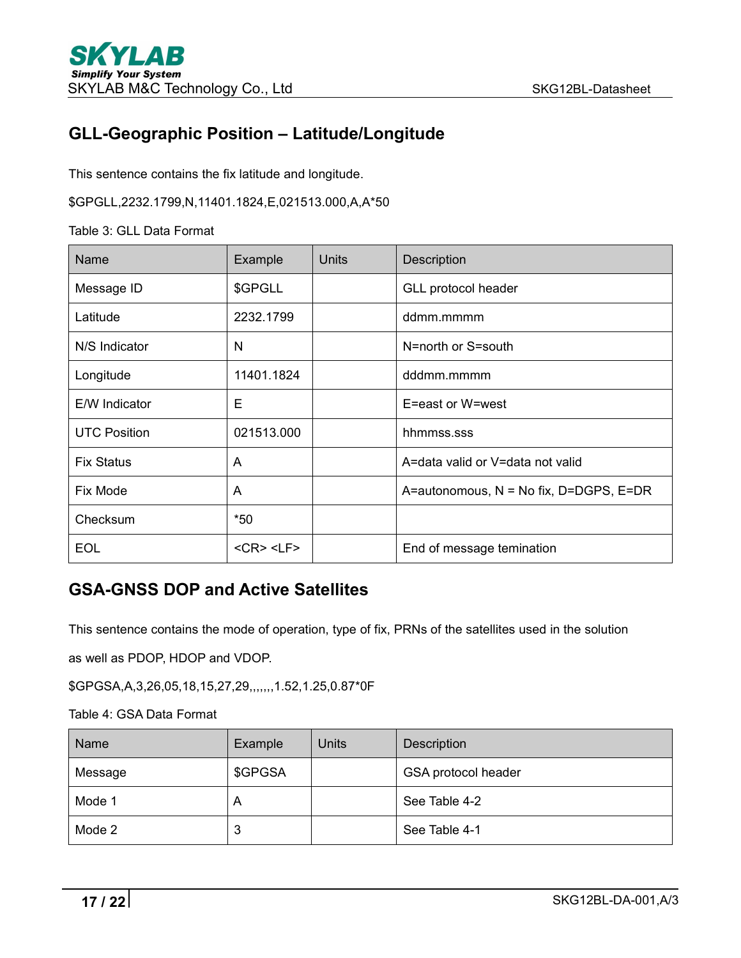## <span id="page-16-0"></span>**GLL-Geographic Position – Latitude/Longitude**

This sentence contains the fix latitude and longitude.

\$GPGLL,2232.1799,N,11401.1824,E,021513.000,A,A\*50

Table 3: GLL Data Format

| Name                | Example               | <b>Units</b> | Description                            |
|---------------------|-----------------------|--------------|----------------------------------------|
| Message ID          | \$GPGLL               |              | GLL protocol header                    |
| Latitude            | 2232.1799             |              | ddmm.mmmm                              |
| N/S Indicator       | N                     |              | N=north or S=south                     |
| Longitude           | 11401.1824            |              | dddmm.mmmm                             |
| E/W Indicator       | E                     |              | E=east or W=west                       |
| <b>UTC Position</b> | 021513.000            |              | hhmmss.sss                             |
| <b>Fix Status</b>   | A                     |              | A=data valid or V=data not valid       |
| Fix Mode            | A                     |              | A=autonomous, N = No fix, D=DGPS, E=DR |
| Checksum            | $*50$                 |              |                                        |
| <b>EOL</b>          | $<$ CR $>$ $<$ LF $>$ |              | End of message temination              |

## <span id="page-16-1"></span>**GSA-GNSS DOP and Active Satellites**

This sentence contains the mode of operation, type of fix, PRNs of the satellites used in the solution

as well as PDOP, HDOP and VDOP.

\$GPGSA,A,3,26,05,18,15,27,29,,,,,,,1.52,1.25,0.87\*0F

Table 4: GSA Data Format

| Name    | Example | <b>Units</b> | <b>Description</b>  |
|---------|---------|--------------|---------------------|
| Message | \$GPGSA |              | GSA protocol header |
| Mode 1  | A       |              | See Table 4-2       |
| Mode 2  | 2<br>J  |              | See Table 4-1       |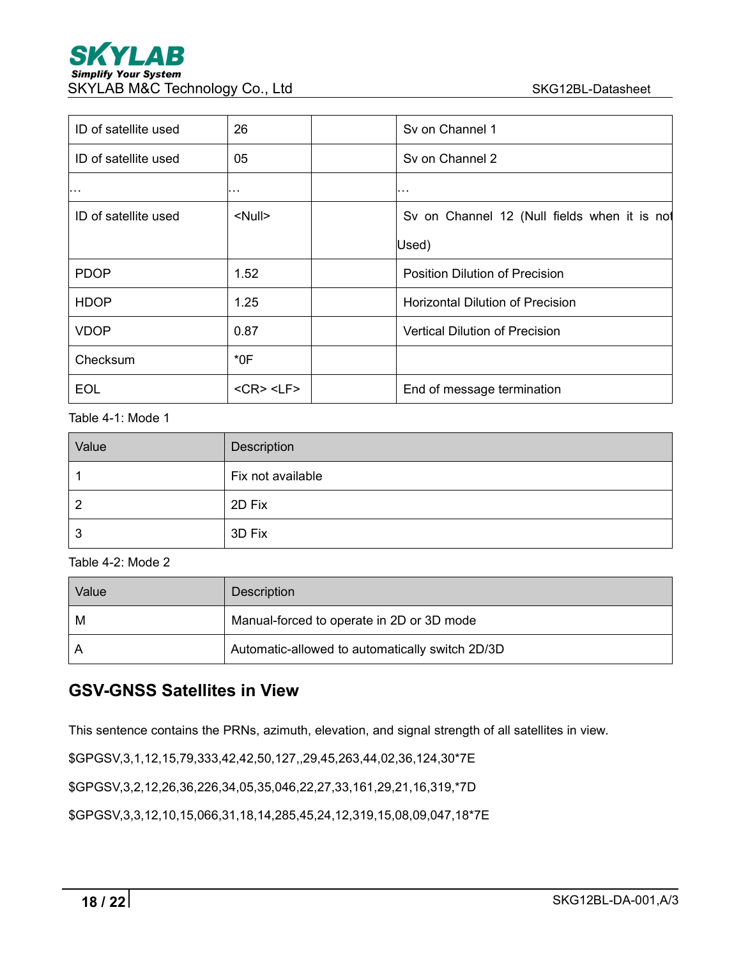| ID of satellite used | 26                    | Sy on Channel 1                              |
|----------------------|-----------------------|----------------------------------------------|
| ID of satellite used | 05                    | Sy on Channel 2                              |
| .                    | .                     | .                                            |
| ID of satellite used | <null></null>         | Sv on Channel 12 (Null fields when it is not |
|                      |                       | Used)                                        |
| <b>PDOP</b>          | 1.52                  | <b>Position Dilution of Precision</b>        |
| <b>HDOP</b>          | 1.25                  | <b>Horizontal Dilution of Precision</b>      |
| <b>VDOP</b>          | 0.87                  | <b>Vertical Dilution of Precision</b>        |
| Checksum             | $*0F$                 |                                              |
| <b>EOL</b>           | $<$ CR $>$ $<$ LF $>$ | End of message termination                   |

Table 4-1: Mode 1

| Value | Description       |  |  |
|-------|-------------------|--|--|
|       | Fix not available |  |  |
| 2     | 2D Fix            |  |  |
| 3     | 3D Fix            |  |  |

#### Table 4-2: Mode 2

| Value | Description                                     |
|-------|-------------------------------------------------|
| M     | Manual-forced to operate in 2D or 3D mode       |
|       | Automatic-allowed to automatically switch 2D/3D |

## <span id="page-17-0"></span>**GSV-GNSS Satellites in View**

This sentence contains the PRNs, azimuth, elevation, and signal strength of all satellites in view.

\$GPGSV,3,1,12,15,79,333,42,42,50,127,,29,45,263,44,02,36,124,30\*7E

\$GPGSV,3,2,12,26,36,226,34,05,35,046,22,27,33,161,29,21,16,319,\*7D

\$GPGSV,3,3,12,10,15,066,31,18,14,285,45,24,12,319,15,08,09,047,18\*7E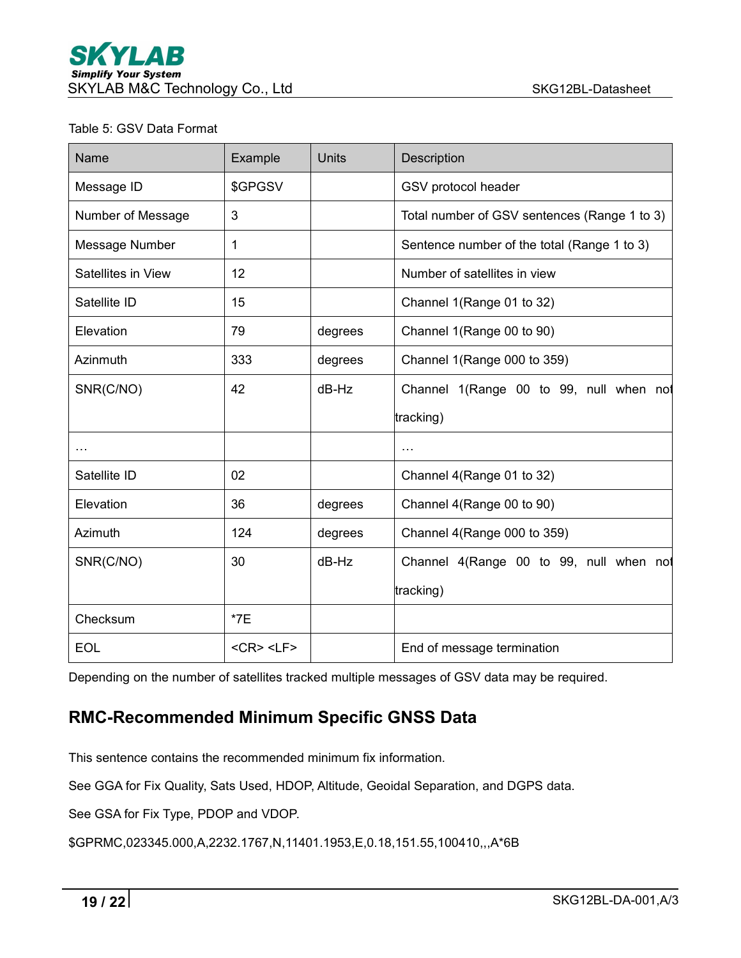#### Table 5: GSV Data Format

| Name               | Example               | <b>Units</b> | Description                                  |
|--------------------|-----------------------|--------------|----------------------------------------------|
| Message ID         | \$GPGSV               |              | GSV protocol header                          |
| Number of Message  | 3                     |              | Total number of GSV sentences (Range 1 to 3) |
| Message Number     | $\mathbf 1$           |              | Sentence number of the total (Range 1 to 3)  |
| Satellites in View | 12                    |              | Number of satellites in view                 |
| Satellite ID       | 15                    |              | Channel 1(Range 01 to 32)                    |
| Elevation          | 79                    | degrees      | Channel 1(Range 00 to 90)                    |
| Azinmuth           | 333                   | degrees      | Channel 1(Range 000 to 359)                  |
| SNR(C/NO)          | 42                    | $dB-Hz$      | Channel 1(Range 00 to 99, null when not      |
|                    |                       |              | tracking)                                    |
| $\cdots$           |                       |              | $\cdots$                                     |
| Satellite ID       | 02                    |              | Channel 4(Range 01 to 32)                    |
| Elevation          | 36                    | degrees      | Channel 4(Range 00 to 90)                    |
| Azimuth            | 124                   | degrees      | Channel 4(Range 000 to 359)                  |
| SNR(C/NO)          | 30                    | $dB-Hz$      | Channel 4(Range 00 to 99, null when not      |
|                    |                       |              | tracking)                                    |
| Checksum           | $*7E$                 |              |                                              |
| <b>EOL</b>         | $<$ CR $>$ $<$ LF $>$ |              | End of message termination                   |

Depending on the number of satellites tracked multiple messages of GSV data may be required.

## <span id="page-18-0"></span>**RMC-Recommended Minimum Specific GNSS Data**

This sentence contains the recommended minimum fix information.

See GGA for Fix Quality, Sats Used, HDOP, Altitude, Geoidal Separation, and DGPS data.

See GSA for Fix Type, PDOP and VDOP.

\$GPRMC,023345.000,A,2232.1767,N,11401.1953,E,0.18,151.55,100410,,,A\*6B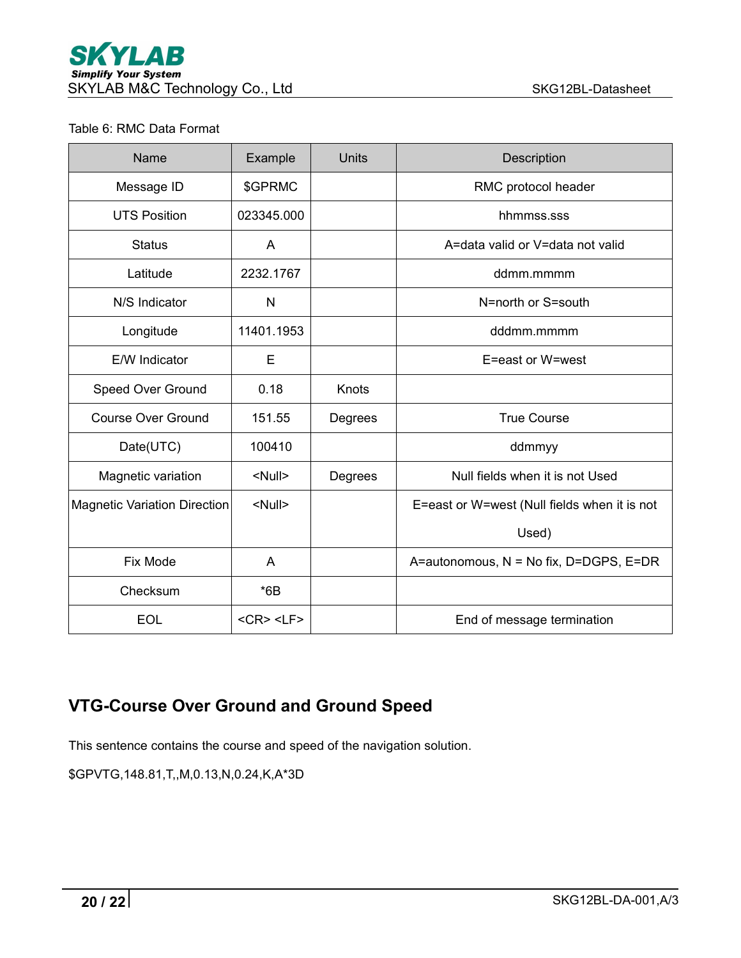#### Table 6: RMC Data Format

| Name                         | Example               | <b>Units</b> | Description                                  |
|------------------------------|-----------------------|--------------|----------------------------------------------|
| Message ID                   | \$GPRMC               |              | RMC protocol header                          |
| <b>UTS Position</b>          | 023345.000            |              | hhmmss.sss                                   |
| <b>Status</b>                | A                     |              | A=data valid or V=data not valid             |
| Latitude                     | 2232.1767             |              | ddmm.mmmm                                    |
| N/S Indicator                | N                     |              | N=north or S=south                           |
| Longitude                    | 11401.1953            |              | dddmm.mmmm                                   |
| E/W Indicator                | Е                     |              | E=east or W=west                             |
| Speed Over Ground            | 0.18                  | Knots        |                                              |
| <b>Course Over Ground</b>    | 151.55                | Degrees      | <b>True Course</b>                           |
| Date(UTC)                    | 100410                |              | ddmmyy                                       |
| Magnetic variation           | <null></null>         | Degrees      | Null fields when it is not Used              |
| Magnetic Variation Direction | <null></null>         |              | E=east or W=west (Null fields when it is not |
|                              |                       |              | Used)                                        |
| Fix Mode                     | A                     |              | A=autonomous, N = No fix, D=DGPS, E=DR       |
| Checksum                     | $*6B$                 |              |                                              |
| <b>EOL</b>                   | $<$ CR $>$ $<$ LF $>$ |              | End of message termination                   |

# <span id="page-19-0"></span>**VTG-Course Over Ground and Ground Speed**

This sentence contains the course and speed of the navigation solution.

\$GPVTG,148.81,T,,M,0.13,N,0.24,K,A\*3D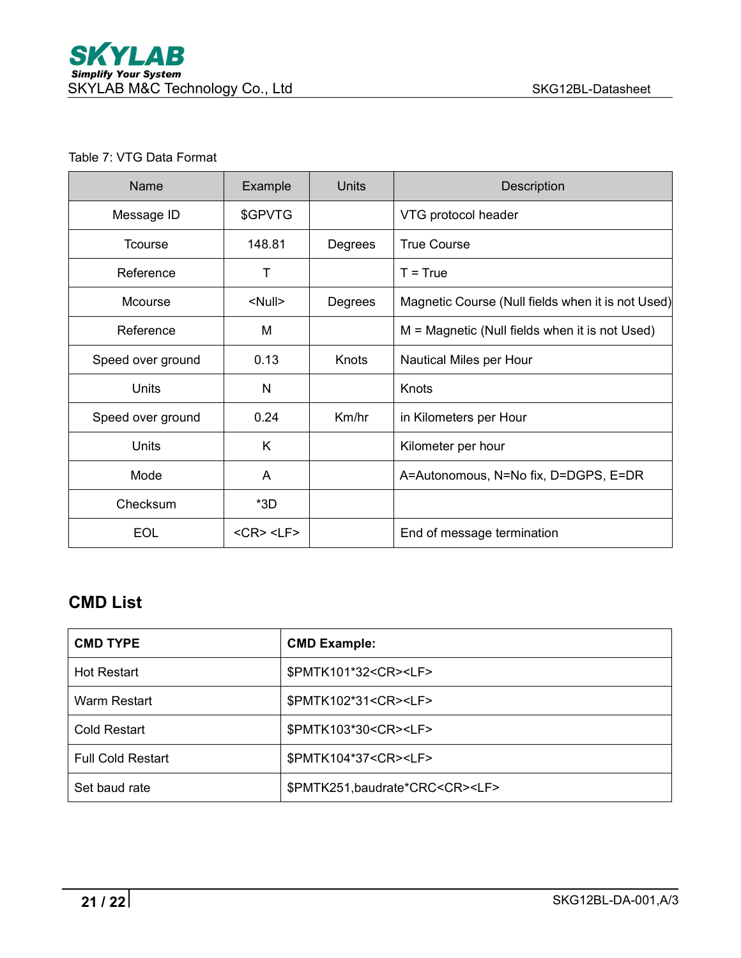#### Table 7: VTG Data Format

| Name              | Example               | <b>Units</b> | Description                                       |
|-------------------|-----------------------|--------------|---------------------------------------------------|
| Message ID        | \$GPVTG               |              | VTG protocol header                               |
| <b>Tcourse</b>    | 148.81                | Degrees      | <b>True Course</b>                                |
| Reference         | т                     |              | $T = True$                                        |
| Mcourse           | <null></null>         | Degrees      | Magnetic Course (Null fields when it is not Used) |
| Reference         | M                     |              | M = Magnetic (Null fields when it is not Used)    |
| Speed over ground | 0.13                  | Knots        | Nautical Miles per Hour                           |
| Units             | $\mathsf{N}$          |              | Knots                                             |
| Speed over ground | 0.24                  | Km/hr        | in Kilometers per Hour                            |
| <b>Units</b>      | K                     |              | Kilometer per hour                                |
| Mode              | A                     |              | A=Autonomous, N=No fix, D=DGPS, E=DR              |
| Checksum          | $*3D$                 |              |                                                   |
| <b>EOL</b>        | $<$ CR $>$ $<$ LF $>$ |              | End of message termination                        |

## <span id="page-20-0"></span>**CMD List**

| <b>CMD TYPE</b>          | <b>CMD Example:</b>                        |
|--------------------------|--------------------------------------------|
| <b>Hot Restart</b>       | \$PMTK101*32 <cr><lf></lf></cr>            |
| Warm Restart             | \$PMTK102*31 <cr><lf></lf></cr>            |
| <b>Cold Restart</b>      | \$PMTK103*30 <cr><lf></lf></cr>            |
| <b>Full Cold Restart</b> | \$PMTK104*37 <cr><lf></lf></cr>            |
| Set baud rate            | \$PMTK251, baudrate*CRC <cr><lf></lf></cr> |